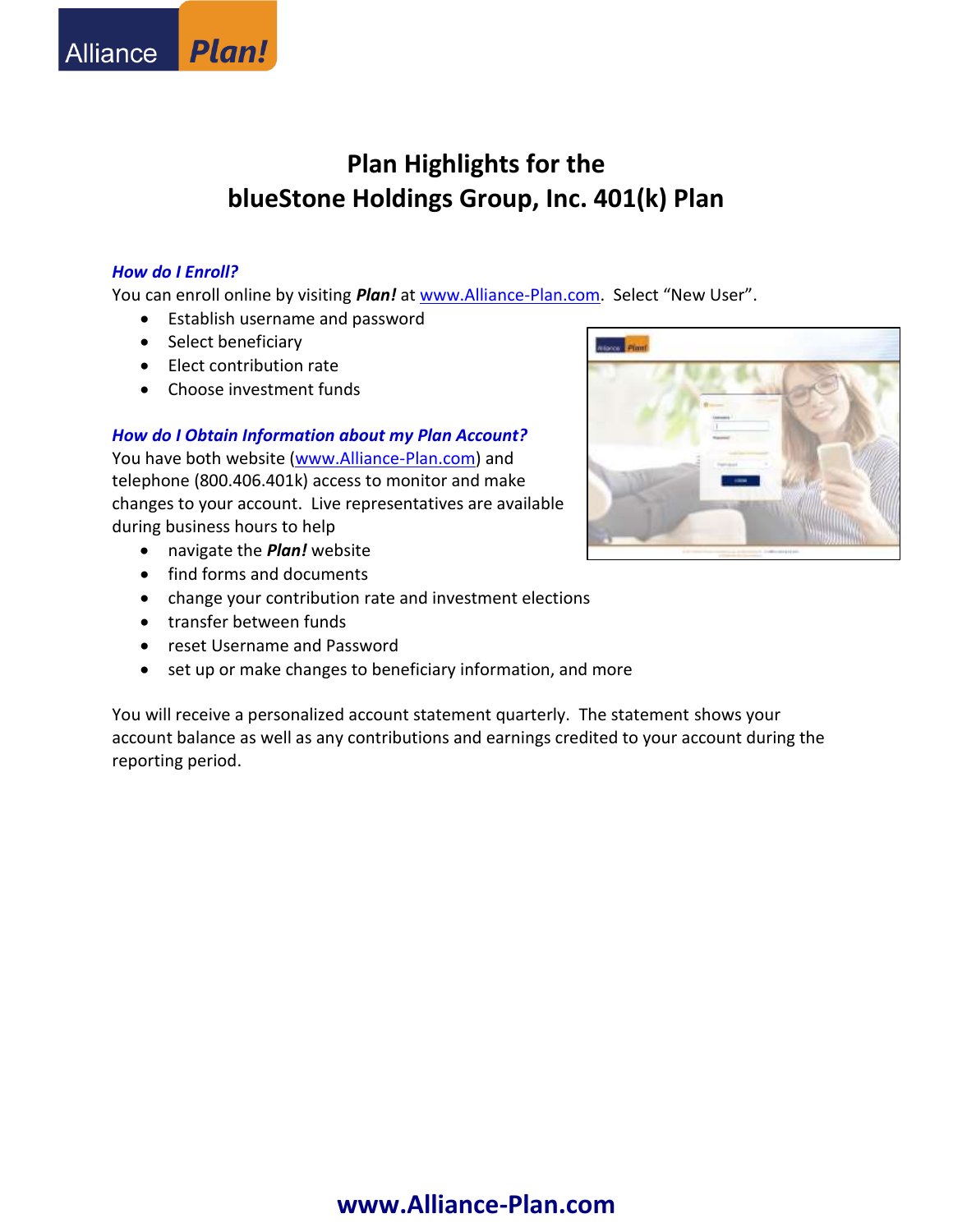## *How do I Enroll?*

You can enroll online by visiting *Plan!* at [www.Alliance-Plan.com.](http://www.alliance-plan.com/) Select "New User".

- Establish username and password
- Select beneficiary
- Elect contribution rate
- Choose investment funds

## *How do I Obtain Information about my Plan Account?*

You have both website [\(www.Alliance-Plan.com\)](http://www.alliance-plan.com/) and telephone (800.406.401k) access to monitor and make changes to your account. Live representatives are available during business hours to help

- navigate the *Plan!* website
- find forms and documents
- change your contribution rate and investment elections
- transfer between funds
- reset Username and Password
- set up or make changes to beneficiary information, and more

You will receive a personalized account statement quarterly. The statement shows your account balance as well as any contributions and earnings credited to your account during the reporting period.

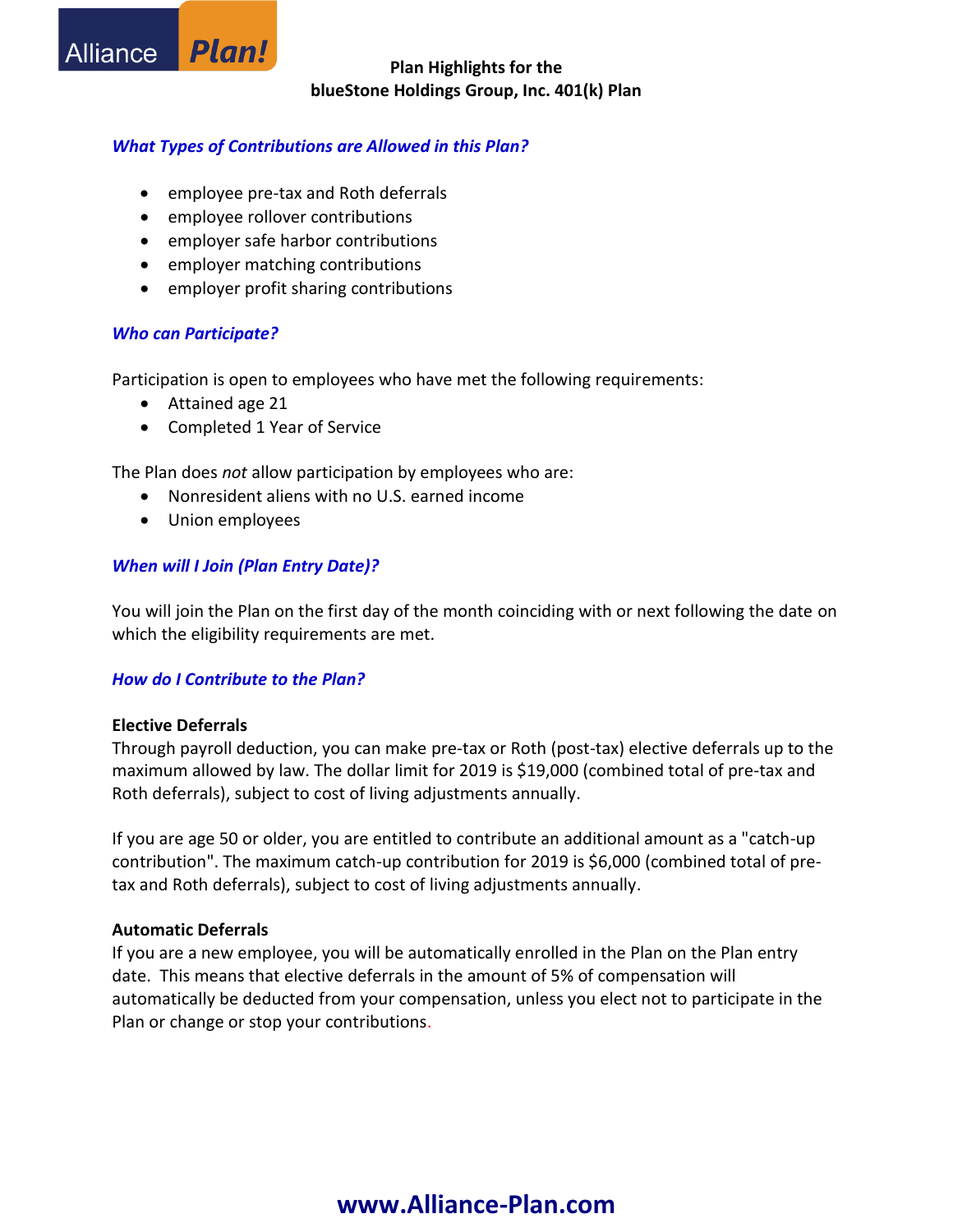## *What Types of Contributions are Allowed in this Plan?*

- employee pre-tax and Roth deferrals
- employee rollover contributions
- employer safe harbor contributions
- employer matching contributions
- employer profit sharing contributions

## *Who can Participate?*

Participation is open to employees who have met the following requirements:

• Attained age 21

**Plan!** 

**Alliance** 

Completed 1 Year of Service

The Plan does *not* allow participation by employees who are:

- Nonresident aliens with no U.S. earned income
- Union employees

## *When will I Join (Plan Entry Date)?*

You will join the Plan on the first day of the month coinciding with or next following the date on which the eligibility requirements are met.

## *How do I Contribute to the Plan?*

## **Elective Deferrals**

Through payroll deduction, you can make pre-tax or Roth (post-tax) elective deferrals up to the maximum allowed by law. The dollar limit for 2019 is \$19,000 (combined total of pre-tax and Roth deferrals), subject to cost of living adjustments annually.

If you are age 50 or older, you are entitled to contribute an additional amount as a "catch-up contribution". The maximum catch-up contribution for 2019 is \$6,000 (combined total of pretax and Roth deferrals), subject to cost of living adjustments annually.

## **Automatic Deferrals**

If you are a new employee, you will be automatically enrolled in the Plan on the Plan entry date. This means that elective deferrals in the amount of 5% of compensation will automatically be deducted from your compensation, unless you elect not to participate in the Plan or change or stop your contributions.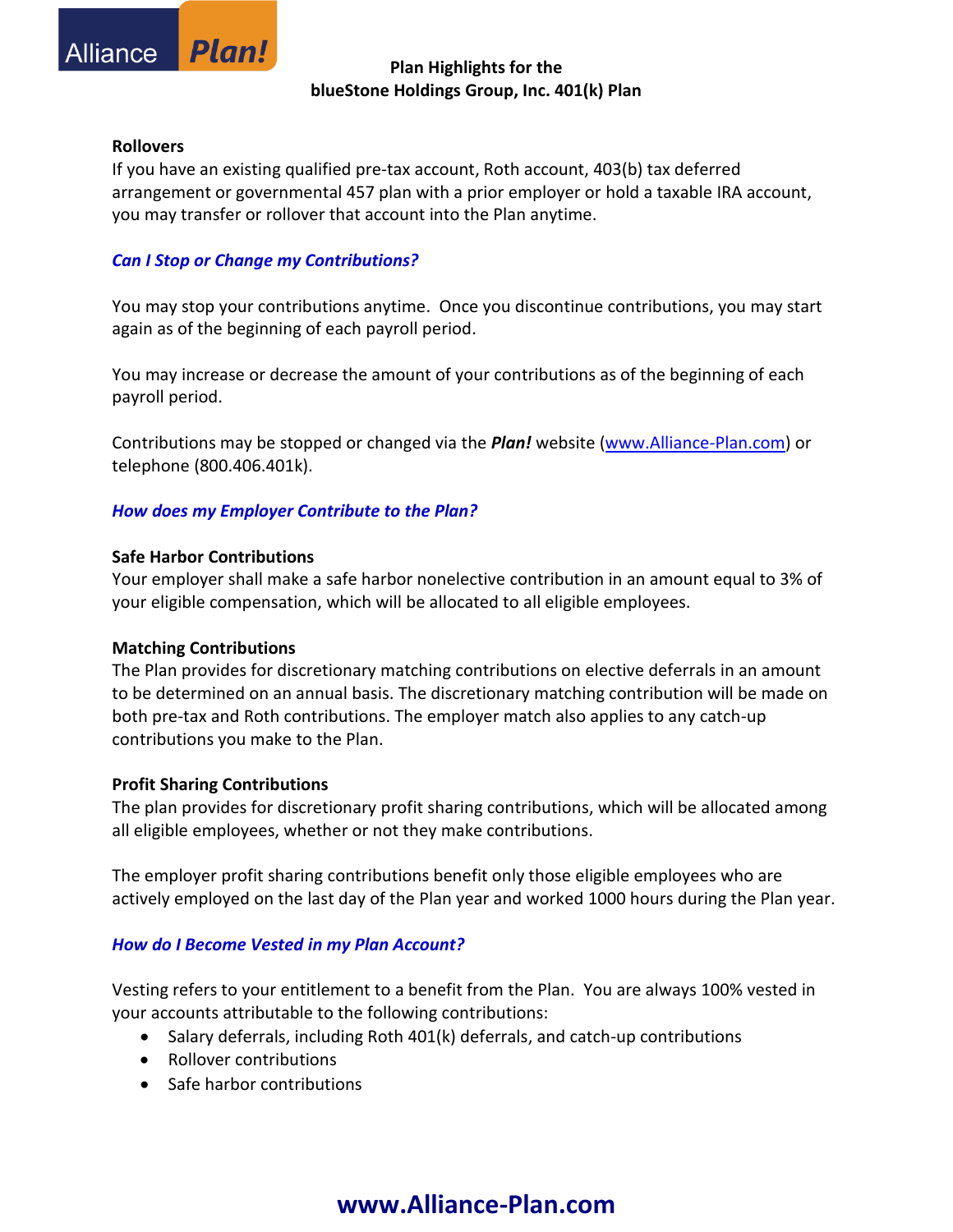#### **Rollovers**

Alliance

If you have an existing qualified pre-tax account, Roth account, 403(b) tax deferred arrangement or governmental 457 plan with a prior employer or hold a taxable IRA account, you may transfer or rollover that account into the Plan anytime.

## *Can I Stop or Change my Contributions?*

**Plan!** 

You may stop your contributions anytime. Once you discontinue contributions, you may start again as of the beginning of each payroll period.

You may increase or decrease the amount of your contributions as of the beginning of each payroll period.

Contributions may be stopped or changed via the *Plan!* website [\(www.Alliance-Plan.com\)](http://www.alliance-plan.com/) or telephone (800.406.401k).

## *How does my Employer Contribute to the Plan?*

#### **Safe Harbor Contributions**

Your employer shall make a safe harbor nonelective contribution in an amount equal to 3% of your eligible compensation, which will be allocated to all eligible employees.

#### **Matching Contributions**

The Plan provides for discretionary matching contributions on elective deferrals in an amount to be determined on an annual basis. The discretionary matching contribution will be made on both pre-tax and Roth contributions. The employer match also applies to any catch-up contributions you make to the Plan.

#### **Profit Sharing Contributions**

The plan provides for discretionary profit sharing contributions, which will be allocated among all eligible employees, whether or not they make contributions.

The employer profit sharing contributions benefit only those eligible employees who are actively employed on the last day of the Plan year and worked 1000 hours during the Plan year.

## *How do I Become Vested in my Plan Account?*

Vesting refers to your entitlement to a benefit from the Plan. You are always 100% vested in your accounts attributable to the following contributions:

- Salary deferrals, including Roth 401(k) deferrals, and catch-up contributions
- Rollover contributions
- Safe harbor contributions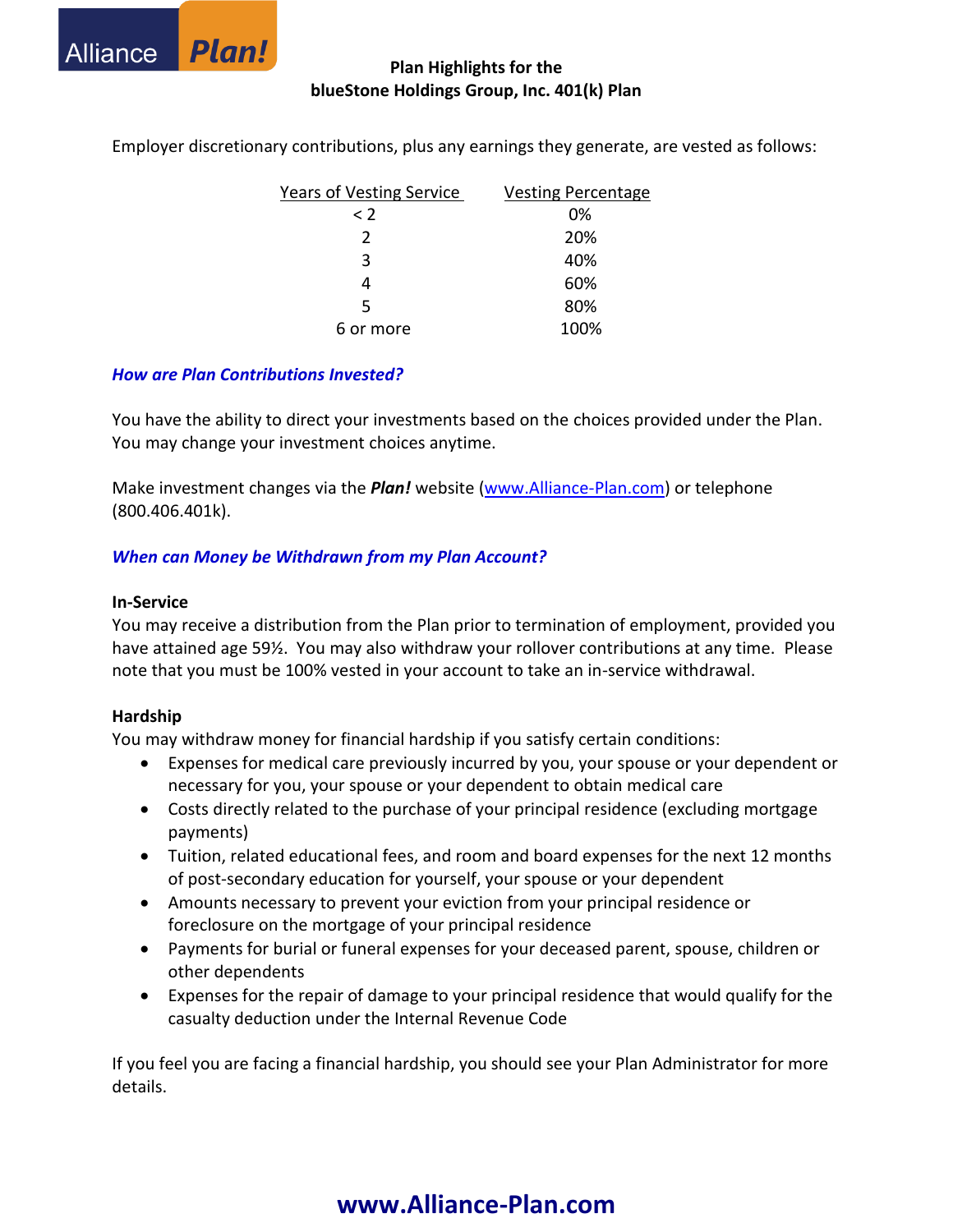

| <b>Years of Vesting Service</b> | <b>Vesting Percentage</b> |
|---------------------------------|---------------------------|
| $\leq$ 2                        | 0%                        |
| 2                               | 20%                       |
| 3                               | 40%                       |
| 4                               | 60%                       |
| 5                               | 80%                       |
| 6 or more                       | 100%                      |

Employer discretionary contributions, plus any earnings they generate, are vested as follows:

#### *How are Plan Contributions Invested?*

You have the ability to direct your investments based on the choices provided under the Plan. You may change your investment choices anytime.

Make investment changes via the *Plan!* website [\(www.Alliance-Plan.com\)](http://www.alliance-plan.com/) or telephone (800.406.401k).

## *When can Money be Withdrawn from my Plan Account?*

#### **In-Service**

You may receive a distribution from the Plan prior to termination of employment, provided you have attained age 59½. You may also withdraw your rollover contributions at any time. Please note that you must be 100% vested in your account to take an in-service withdrawal.

#### **Hardship**

You may withdraw money for financial hardship if you satisfy certain conditions:

- Expenses for medical care previously incurred by you, your spouse or your dependent or necessary for you, your spouse or your dependent to obtain medical care
- Costs directly related to the purchase of your principal residence (excluding mortgage payments)
- Tuition, related educational fees, and room and board expenses for the next 12 months of post-secondary education for yourself, your spouse or your dependent
- Amounts necessary to prevent your eviction from your principal residence or foreclosure on the mortgage of your principal residence
- Payments for burial or funeral expenses for your deceased parent, spouse, children or other dependents
- Expenses for the repair of damage to your principal residence that would qualify for the casualty deduction under the Internal Revenue Code

If you feel you are facing a financial hardship, you should see your Plan Administrator for more details.